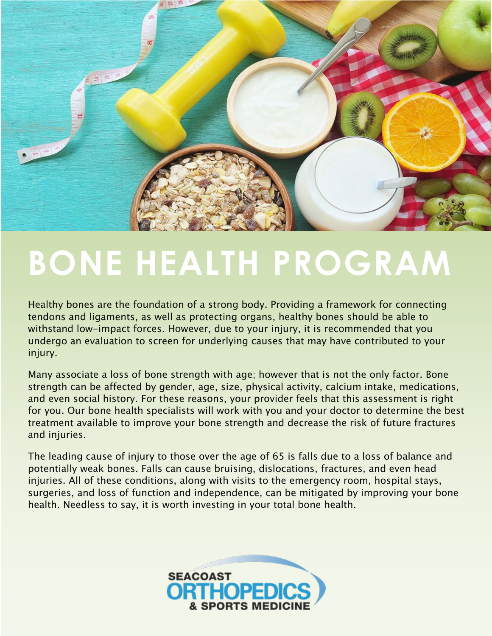

# **BONE HEALTH PROGRAM**

Healthy bones are the foundation of a strong body. Providing a framework for connecting tendons and ligaments, as well as protecting organs, healthy bones should be able to withstand low-impact forces. However, due to your injury, it is recommended that you undergo an evaluation to screen for underlying causes that may have contributed to your injury.

Many associate a loss of bone strength with age; however that is not the only factor. Bone strength can be affected by gender, age, size, physical activity, calcium intake, medications, and even social history. For these reasons, your provider feels that this assessment is right for you. Our bone health specialists will work with you and your doctor to determine the best treatment available to improve your bone strength and decrease the risk of future fractures and injuries.

The leading cause of injury to those over the age of 65 is falls due to a loss of balance and potentially weak bones. Falls can cause bruising, dislocations, fractures, and even head injuries. All of these conditions, along with visits to the emergency room, hospital stays, surgeries, and loss of function and independence, can be mitigated by improving your bone health. Needless to say, it is worth investing in your total bone health.